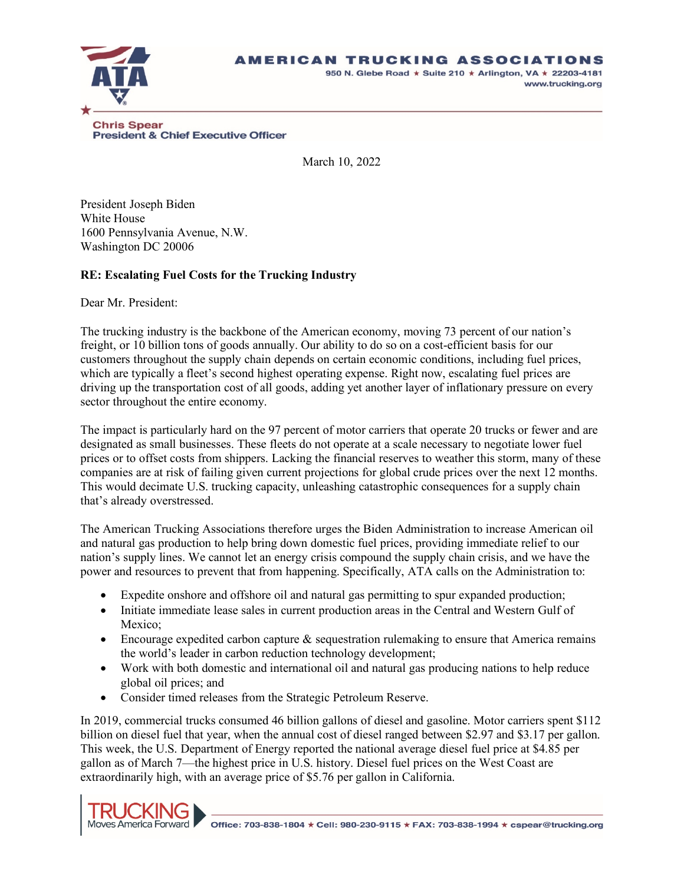## AMERICAN TRUCKING ASSOCIATIONS



950 N. Glebe Road \* Suite 210 \* Arlington, VA \* 22203-4181 www.trucking.org

**President & Chief Executive Officer** 

March 10, 2022

President Joseph Biden White House 1600 Pennsylvania Avenue, N.W. Washington DC 20006

## **RE: Escalating Fuel Costs for the Trucking Industry**

Dear Mr. President:

The trucking industry is the backbone of the American economy, moving 73 percent of our nation's freight, or 10 billion tons of goods annually. Our ability to do so on a cost-efficient basis for our customers throughout the supply chain depends on certain economic conditions, including fuel prices, which are typically a fleet's second highest operating expense. Right now, escalating fuel prices are driving up the transportation cost of all goods, adding yet another layer of inflationary pressure on every sector throughout the entire economy.

The impact is particularly hard on the 97 percent of motor carriers that operate 20 trucks or fewer and are designated as small businesses. These fleets do not operate at a scale necessary to negotiate lower fuel prices or to offset costs from shippers. Lacking the financial reserves to weather this storm, many of these companies are at risk of failing given current projections for global crude prices over the next 12 months. This would decimate U.S. trucking capacity, unleashing catastrophic consequences for a supply chain that's already overstressed.

The American Trucking Associations therefore urges the Biden Administration to increase American oil and natural gas production to help bring down domestic fuel prices, providing immediate relief to our nation's supply lines. We cannot let an energy crisis compound the supply chain crisis, and we have the power and resources to prevent that from happening. Specifically, ATA calls on the Administration to:

- Expedite onshore and offshore oil and natural gas permitting to spur expanded production;
- Initiate immediate lease sales in current production areas in the Central and Western Gulf of Mexico;
- Encourage expedited carbon capture  $\&$  sequestration rulemaking to ensure that America remains the world's leader in carbon reduction technology development;
- Work with both domestic and international oil and natural gas producing nations to help reduce global oil prices; and
- Consider timed releases from the Strategic Petroleum Reserve.

In 2019, commercial trucks consumed 46 billion gallons of diesel and gasoline. Motor carriers spent \$112 billion on diesel fuel that year, when the annual cost of diesel ranged between \$2.97 and \$3.17 per gallon. This week, the U.S. Department of Energy reported the national average diesel fuel price at \$4.85 per gallon as of March 7—the highest price in U.S. history. Diesel fuel prices on the West Coast are extraordinarily high, with an average price of \$5.76 per gallon in California.